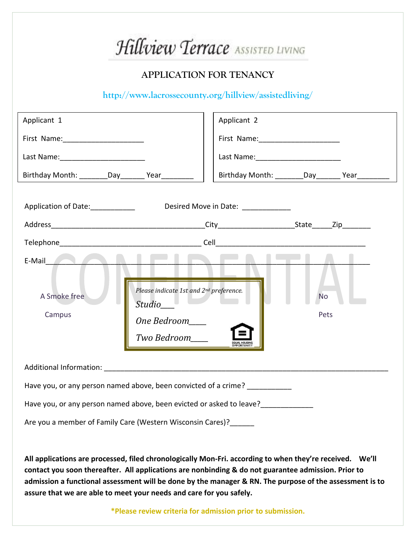| Hillview Terrace ASSISTED LIVING                                                                                                                                                                                                     |                                                     |
|--------------------------------------------------------------------------------------------------------------------------------------------------------------------------------------------------------------------------------------|-----------------------------------------------------|
| <b>APPLICATION FOR TENANCY</b>                                                                                                                                                                                                       |                                                     |
| http://www.lacrossecounty.org/hillview/assistedliving/                                                                                                                                                                               |                                                     |
| Applicant 1                                                                                                                                                                                                                          | Applicant 2                                         |
|                                                                                                                                                                                                                                      |                                                     |
|                                                                                                                                                                                                                                      |                                                     |
| Birthday Month: ________Day_______ Year_______                                                                                                                                                                                       | Birthday Month: _________Day________ Year__________ |
| Application of Date:_____________<br>Desired Move in Date: ____________<br>E-Mail <b>Alberta</b><br>Please indicate 1st and 2nd preference.<br>A Smoke free<br><b>No</b><br>Studio__<br>Campus<br>Pets<br>One Bedroom<br>Two Bedroom |                                                     |
| Have you, or any person named above, been convicted of a crime? _____________<br>Have you, or any person named above, been evicted or asked to leave?<br>Are you a member of Family Care (Western Wisconsin Cares)?                  |                                                     |
|                                                                                                                                                                                                                                      |                                                     |

**All applications are processed, filed chronologically Mon-Fri. according to when they're received. We'll contact you soon thereafter. All applications are nonbinding & do not guarantee admission. Prior to admission a functional assessment will be done by the manager & RN. The purpose of the assessment is to assure that we are able to meet your needs and care for you safely.** 

**\*Please review criteria for admission prior to submission.**